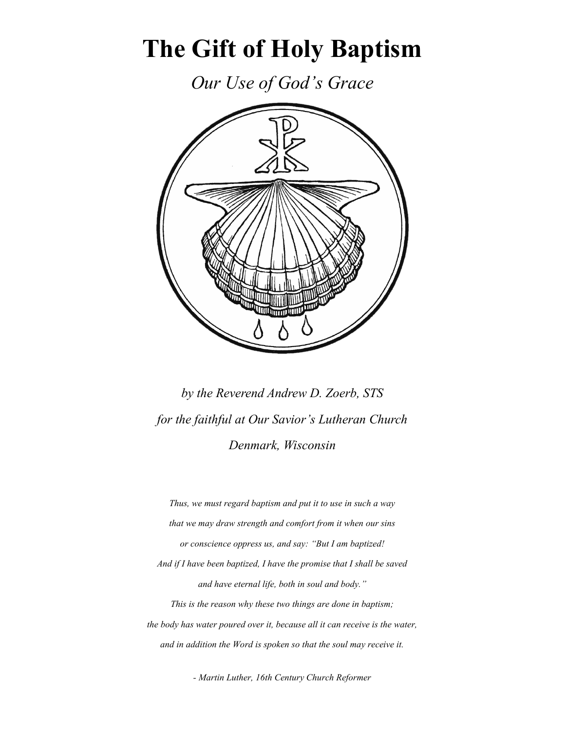# **The Gift of Holy Baptism**

*Our Use of God's Grace*



*by the Reverend Andrew D. Zoerb, STS for the faithful at Our Savior's Lutheran Church Denmark, Wisconsin*

*Thus, we must regard baptism and put it to use in such a way that we may draw strength and comfort from it when our sins or conscience oppress us, and say: "But I am baptized! And if I have been baptized, I have the promise that I shall be saved and have eternal life, both in soul and body." This is the reason why these two things are done in baptism; the body has water poured over it, because all it can receive is the water, and in addition the Word is spoken so that the soul may receive it.*

*- Martin Luther, 16th Century Church Reformer*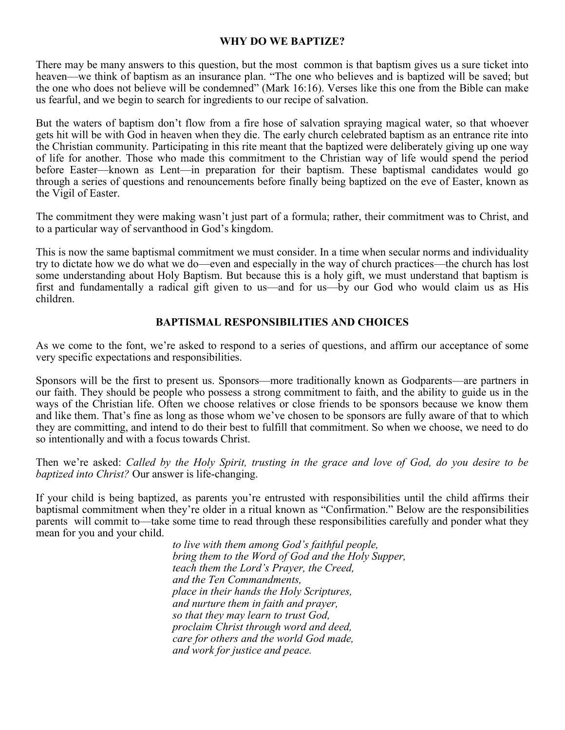#### **WHY DO WE BAPTIZE?**

There may be many answers to this question, but the most common is that baptism gives us a sure ticket into heaven—we think of baptism as an insurance plan. "The one who believes and is baptized will be saved; but the one who does not believe will be condemned" (Mark 16:16). Verses like this one from the Bible can make us fearful, and we begin to search for ingredients to our recipe of salvation.

But the waters of baptism don't flow from a fire hose of salvation spraying magical water, so that whoever gets hit will be with God in heaven when they die. The early church celebrated baptism as an entrance rite into the Christian community. Participating in this rite meant that the baptized were deliberately giving up one way of life for another. Those who made this commitment to the Christian way of life would spend the period before Easter—known as Lent—in preparation for their baptism. These baptismal candidates would go through a series of questions and renouncements before finally being baptized on the eve of Easter, known as the Vigil of Easter.

The commitment they were making wasn't just part of a formula; rather, their commitment was to Christ, and to a particular way of servanthood in God's kingdom.

This is now the same baptismal commitment we must consider. In a time when secular norms and individuality try to dictate how we do what we do—even and especially in the way of church practices—the church has lost some understanding about Holy Baptism. But because this is a holy gift, we must understand that baptism is first and fundamentally a radical gift given to us—and for us—by our God who would claim us as His children.

## **BAPTISMAL RESPONSIBILITIES AND CHOICES**

As we come to the font, we're asked to respond to a series of questions, and affirm our acceptance of some very specific expectations and responsibilities.

Sponsors will be the first to present us. Sponsors—more traditionally known as Godparents—are partners in our faith. They should be people who possess a strong commitment to faith, and the ability to guide us in the ways of the Christian life. Often we choose relatives or close friends to be sponsors because we know them and like them. That's fine as long as those whom we've chosen to be sponsors are fully aware of that to which they are committing, and intend to do their best to fulfill that commitment. So when we choose, we need to do so intentionally and with a focus towards Christ.

Then we're asked: *Called by the Holy Spirit, trusting in the grace and love of God, do you desire to be baptized into Christ?* Our answer is life-changing.

If your child is being baptized, as parents you're entrusted with responsibilities until the child affirms their baptismal commitment when they're older in a ritual known as "Confirmation." Below are the responsibilities parents will commit to—take some time to read through these responsibilities carefully and ponder what they mean for you and your child.

> *to live with them among God's faithful people, bring them to the Word of God and the Holy Supper, teach them the Lord's Prayer, the Creed, and the Ten Commandments, place in their hands the Holy Scriptures, and nurture them in faith and prayer, so that they may learn to trust God, proclaim Christ through word and deed, care for others and the world God made, and work for justice and peace.*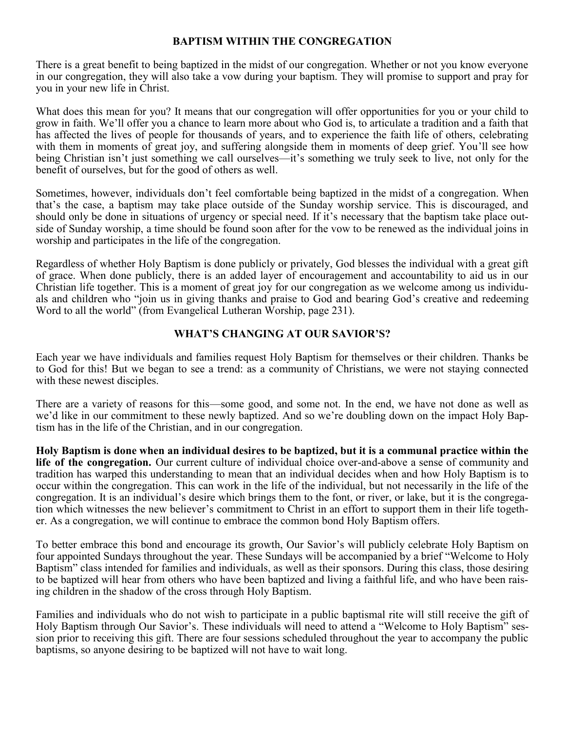## **BAPTISM WITHIN THE CONGREGATION**

There is a great benefit to being baptized in the midst of our congregation. Whether or not you know everyone in our congregation, they will also take a vow during your baptism. They will promise to support and pray for you in your new life in Christ.

What does this mean for you? It means that our congregation will offer opportunities for you or your child to grow in faith. We'll offer you a chance to learn more about who God is, to articulate a tradition and a faith that has affected the lives of people for thousands of years, and to experience the faith life of others, celebrating with them in moments of great joy, and suffering alongside them in moments of deep grief. You'll see how being Christian isn't just something we call ourselves—it's something we truly seek to live, not only for the benefit of ourselves, but for the good of others as well.

Sometimes, however, individuals don't feel comfortable being baptized in the midst of a congregation. When that's the case, a baptism may take place outside of the Sunday worship service. This is discouraged, and should only be done in situations of urgency or special need. If it's necessary that the baptism take place outside of Sunday worship, a time should be found soon after for the vow to be renewed as the individual joins in worship and participates in the life of the congregation.

Regardless of whether Holy Baptism is done publicly or privately, God blesses the individual with a great gift of grace. When done publicly, there is an added layer of encouragement and accountability to aid us in our Christian life together. This is a moment of great joy for our congregation as we welcome among us individuals and children who "join us in giving thanks and praise to God and bearing God's creative and redeeming Word to all the world" (from Evangelical Lutheran Worship, page 231).

#### **WHAT'S CHANGING AT OUR SAVIOR'S?**

Each year we have individuals and families request Holy Baptism for themselves or their children. Thanks be to God for this! But we began to see a trend: as a community of Christians, we were not staying connected with these newest disciples.

There are a variety of reasons for this—some good, and some not. In the end, we have not done as well as we'd like in our commitment to these newly baptized. And so we're doubling down on the impact Holy Baptism has in the life of the Christian, and in our congregation.

**Holy Baptism is done when an individual desires to be baptized, but it is a communal practice within the life of the congregation.** Our current culture of individual choice over-and-above a sense of community and tradition has warped this understanding to mean that an individual decides when and how Holy Baptism is to occur within the congregation. This can work in the life of the individual, but not necessarily in the life of the congregation. It is an individual's desire which brings them to the font, or river, or lake, but it is the congregation which witnesses the new believer's commitment to Christ in an effort to support them in their life together. As a congregation, we will continue to embrace the common bond Holy Baptism offers.

To better embrace this bond and encourage its growth, Our Savior's will publicly celebrate Holy Baptism on four appointed Sundays throughout the year. These Sundays will be accompanied by a brief "Welcome to Holy Baptism" class intended for families and individuals, as well as their sponsors. During this class, those desiring to be baptized will hear from others who have been baptized and living a faithful life, and who have been raising children in the shadow of the cross through Holy Baptism.

Families and individuals who do not wish to participate in a public baptismal rite will still receive the gift of Holy Baptism through Our Savior's. These individuals will need to attend a "Welcome to Holy Baptism" session prior to receiving this gift. There are four sessions scheduled throughout the year to accompany the public baptisms, so anyone desiring to be baptized will not have to wait long.